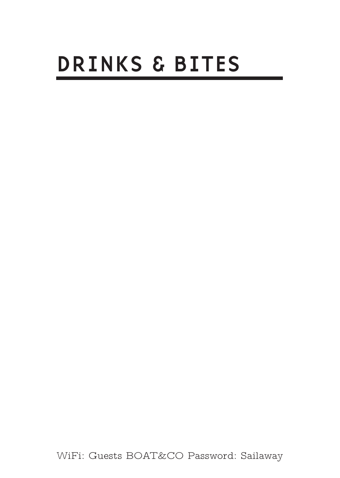# DRINKS & BITES

WiFi: Guests BOAT&CO Password: Sailaway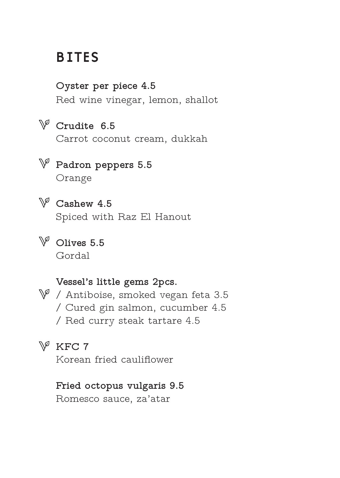# **BITES**

**Oyster per piece 4.5** Red wine vinegar, lemon, shallot

# **Crudite 6.5**

Carrot coconut cream, dukkah

- **Padron peppers 5.5** Orange
- 

**Cashew 4.5**

Spiced with Raz El Hanout

**Olives 5.5** Gordal

#### **Vessel's little gems 2pcs.**

 $\mathbb{V}$  / Antiboise, smoked vegan feta 3.5 / Cured gin salmon, cucumber 4.5 / Red curry steak tartare 4.5

#### **KFC 7**

Korean fried cauliflower

#### **Fried octopus vulgaris 9.5**

Romesco sauce, za'atar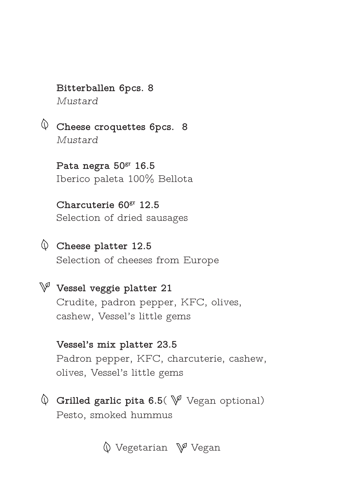#### **Bitterballen 6pcs. 8** *Mustard*

**Cheese croquettes 6pcs. 8** *Mustard*

> **Pata negra 50gr 16.5** Iberico paleta 100% Bellota

**Charcuterie 60gr 12.5** Selection of dried sausages

- **Cheese platter 12.5** Selection of cheeses from Europe
- **Vessel veggie platter 21** Crudite, padron pepper, KFC, olives, cashew, Vessel's little gems

**Vessel's mix platter 23.5** Padron pepper, KFC, charcuterie, cashew, olives, Vessel's little gems

 $\mathbb Q$  Grilled garlic pita 6.5(  $\mathbb V$  Vegan optional) Pesto, smoked hummus

 $\mathbb O$  Vegetarian  $\mathbb V^{\mathbb Z}$  Vegan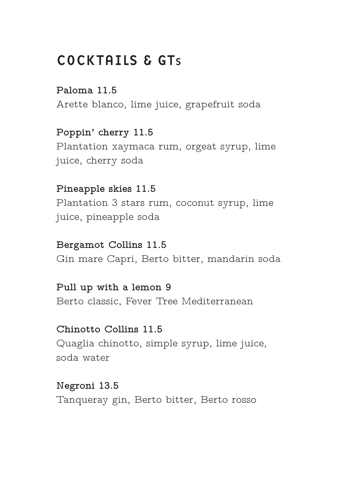# COCKTAILS & GTs

**Paloma 11.5** Arette blanco, lime juice, grapefruit soda

**Poppin' cherry 11.5** Plantation xaymaca rum, orgeat syrup, lime juice, cherry soda

**Pineapple skies 11.5** Plantation 3 stars rum, coconut syrup, lime juice, pineapple soda

**Bergamot Collins 11.5** Gin mare Capri, Berto bitter, mandarin soda

**Pull up with a lemon 9** Berto classic, Fever Tree Mediterranean

**Chinotto Collins 11.5** Quaglia chinotto, simple syrup, lime juice, soda water

**Negroni 13.5** Tanqueray gin, Berto bitter, Berto rosso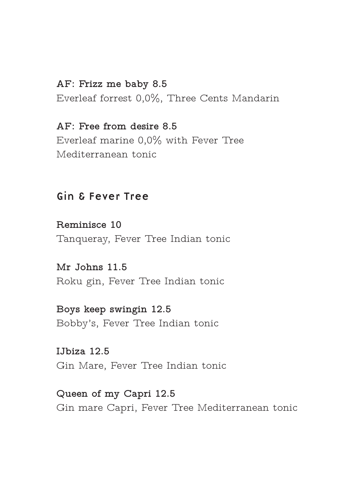#### **AF: Frizz me baby 8.5**

Everleaf forrest 0,0%, Three Cents Mandarin

**AF: Free from desire 8.5** Everleaf marine 0,0% with Fever Tree Mediterranean tonic

#### Gin & Fever Tree

**Reminisce 10** Tanqueray, Fever Tree Indian tonic

**Mr Johns 11.5** Roku gin, Fever Tree Indian tonic

**Boys keep swingin 12.5** Bobby's, Fever Tree Indian tonic

**IJbiza 12.5** Gin Mare, Fever Tree Indian tonic

**Queen of my Capri 12.5** Gin mare Capri, Fever Tree Mediterranean tonic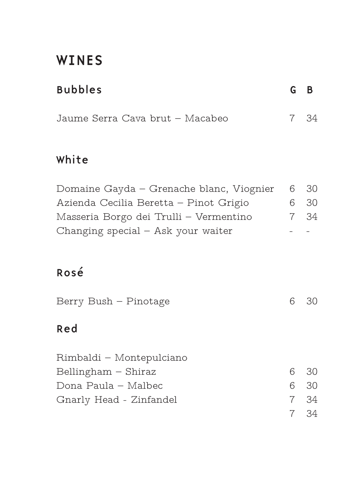# WINES

| <b>Bubbles</b> | G B |  |
|----------------|-----|--|
|                |     |  |

| Jaume Serra Cava brut – Macabeo | 7 34 |
|---------------------------------|------|
|---------------------------------|------|

# White

| Domaine Gayda – Grenache blanc, Viognier 6 30 |      |
|-----------------------------------------------|------|
| Azienda Cecilia Beretta – Pinot Grigio        | 6 30 |
| Masseria Borgo dei Trulli – Vermentino        | 7 34 |
| Changing special $-$ Ask your waiter          |      |

# Rosé

| Berry Bush - Pinotage | 630 |
|-----------------------|-----|
| Red                   |     |

| Rimbaldi – Montepulciano |      |    |
|--------------------------|------|----|
| Bellingham – Shiraz      | 6 30 |    |
| Dona Paula – Malbec      | 6 30 |    |
| Gnarly Head - Zinfandel  | 7 34 |    |
|                          |      | 34 |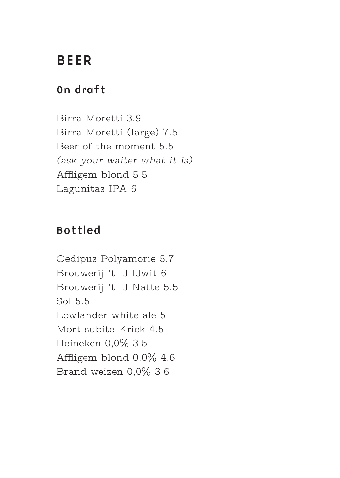# BEER

### On draft

Birra Moretti 3.9 Birra Moretti (large) 7.5 Beer of the moment 5.5 *(ask your waiter what it is)* Affligem blond 5.5 Lagunitas IPA 6

# Bottled

Oedipus Polyamorie 5.7 Brouwerij 't IJ IJwit 6 Brouwerij 't IJ Natte 5.5 Sol 5.5 Lowlander white ale 5 Mort subite Kriek 4.5 Heineken 0,0% 3.5 Affligem blond 0,0% 4.6 Brand weizen 0,0% 3.6